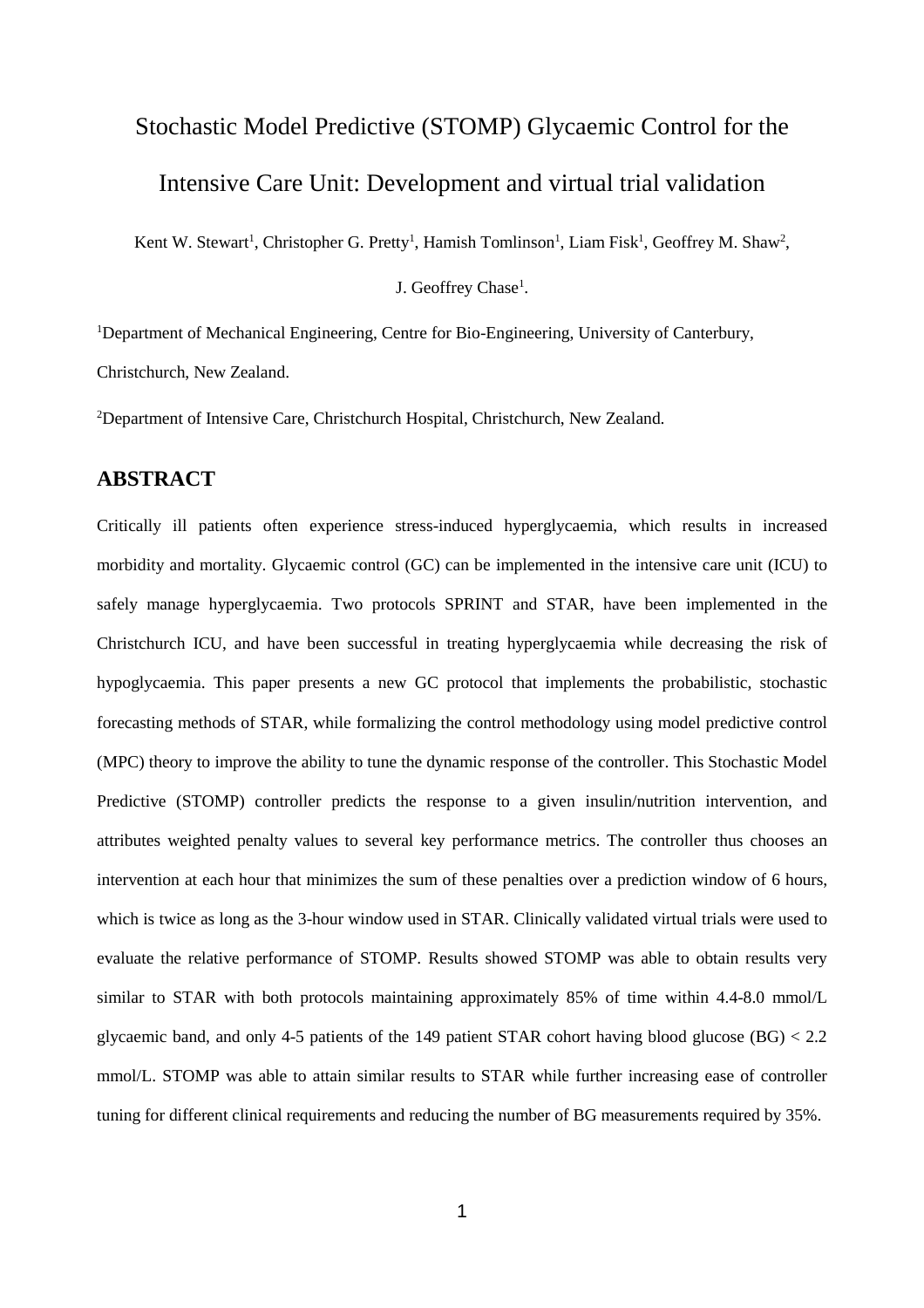# Stochastic Model Predictive (STOMP) Glycaemic Control for the

## Intensive Care Unit: Development and virtual trial validation

Kent W. Stewart<sup>1</sup>, Christopher G. Pretty<sup>1</sup>, Hamish Tomlinson<sup>1</sup>, Liam Fisk<sup>1</sup>, Geoffrey M. Shaw<sup>2</sup>,

J. Geoffrey Chase<sup>1</sup>.

<sup>1</sup>Department of Mechanical Engineering, Centre for Bio-Engineering, University of Canterbury,

Christchurch, New Zealand.

<sup>2</sup>Department of Intensive Care, Christchurch Hospital, Christchurch, New Zealand.

### **ABSTRACT**

Critically ill patients often experience stress-induced hyperglycaemia, which results in increased morbidity and mortality. Glycaemic control (GC) can be implemented in the intensive care unit (ICU) to safely manage hyperglycaemia. Two protocols SPRINT and STAR, have been implemented in the Christchurch ICU, and have been successful in treating hyperglycaemia while decreasing the risk of hypoglycaemia. This paper presents a new GC protocol that implements the probabilistic, stochastic forecasting methods of STAR, while formalizing the control methodology using model predictive control (MPC) theory to improve the ability to tune the dynamic response of the controller. This Stochastic Model Predictive (STOMP) controller predicts the response to a given insulin/nutrition intervention, and attributes weighted penalty values to several key performance metrics. The controller thus chooses an intervention at each hour that minimizes the sum of these penalties over a prediction window of 6 hours, which is twice as long as the 3-hour window used in STAR. Clinically validated virtual trials were used to evaluate the relative performance of STOMP. Results showed STOMP was able to obtain results very similar to STAR with both protocols maintaining approximately 85% of time within 4.4-8.0 mmol/L glycaemic band, and only 4-5 patients of the 149 patient STAR cohort having blood glucose (BG) < 2.2 mmol/L. STOMP was able to attain similar results to STAR while further increasing ease of controller tuning for different clinical requirements and reducing the number of BG measurements required by 35%.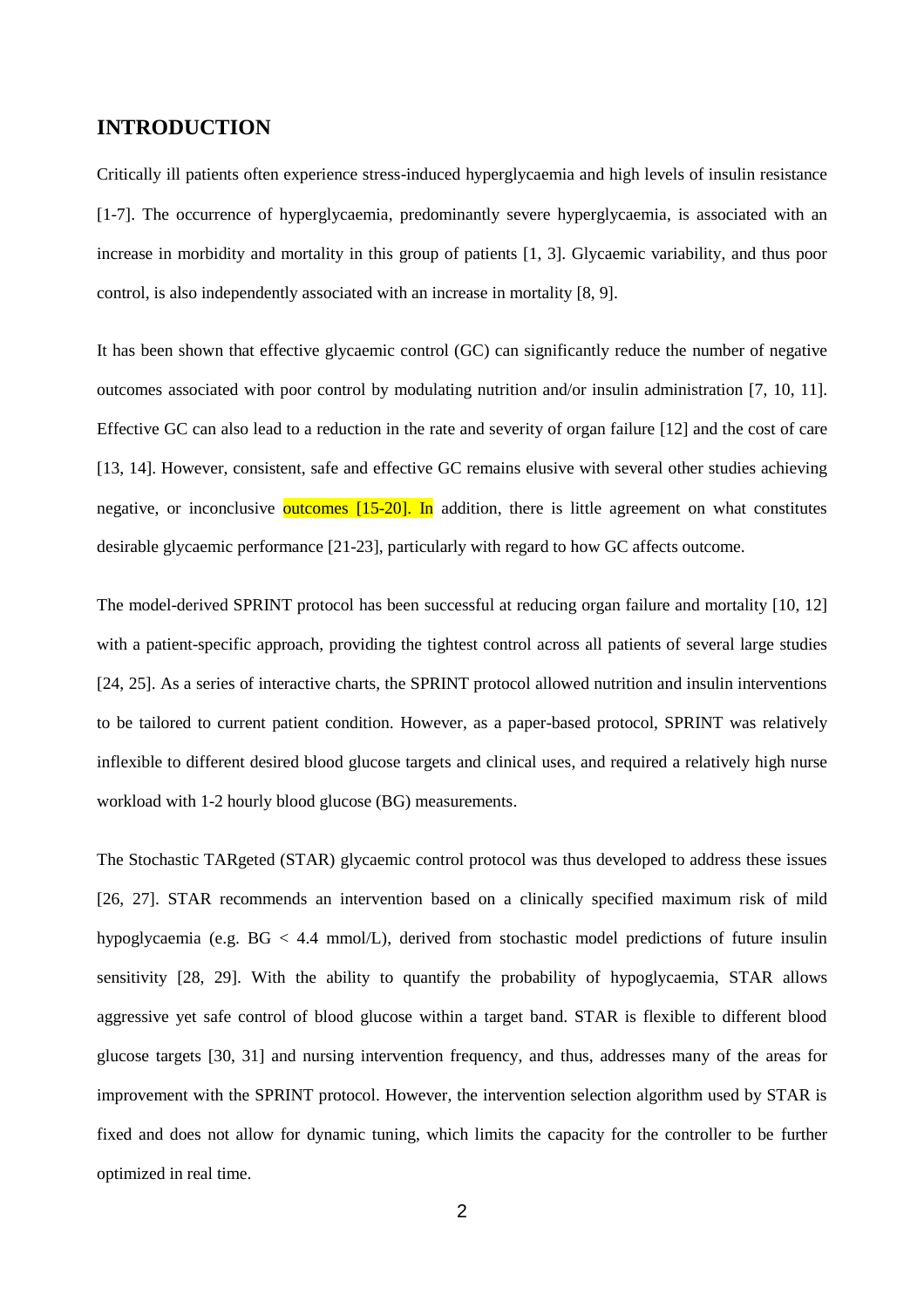### **INTRODUCTION**

Critically ill patients often experience stress-induced hyperglycaemia and high levels of insulin resistance [\[1-7\]](#page-15-0). The occurrence of hyperglycaemia, predominantly severe hyperglycaemia, is associated with an increase in morbidity and mortality in this group of patients [\[1,](#page-15-0) [3\]](#page-15-1). Glycaemic variability, and thus poor control, is also independently associated with an increase in mortality [\[8,](#page-15-2) [9\]](#page-15-3).

It has been shown that effective glycaemic control (GC) can significantly reduce the number of negative outcomes associated with poor control by modulating nutrition and/or insulin administration [\[7,](#page-15-4) [10,](#page-15-5) [11\]](#page-15-6). Effective GC can also lead to a reduction in the rate and severity of organ failure [\[12\]](#page-15-7) and the cost of care [\[13,](#page-15-8) [14\]](#page-15-9). However, consistent, safe and effective GC remains elusive with several other studies achieving negative, or inconclusive **outcomes**  $[15-20]$ . In addition, there is little agreement on what constitutes desirable glycaemic performance [\[21-23\]](#page-16-0), particularly with regard to how GC affects outcome.

The model-derived SPRINT protocol has been successful at reducing organ failure and mortality [\[10,](#page-15-5) [12\]](#page-15-7) with a patient-specific approach, providing the tightest control across all patients of several large studies [\[24,](#page-16-1) [25\]](#page-16-2). As a series of interactive charts, the SPRINT protocol allowed nutrition and insulin interventions to be tailored to current patient condition. However, as a paper-based protocol, SPRINT was relatively inflexible to different desired blood glucose targets and clinical uses, and required a relatively high nurse workload with 1-2 hourly blood glucose (BG) measurements.

The Stochastic TARgeted (STAR) glycaemic control protocol was thus developed to address these issues [\[26,](#page-16-3) [27\]](#page-16-4). STAR recommends an intervention based on a clinically specified maximum risk of mild hypoglycaemia (e.g. BG < 4.4 mmol/L), derived from stochastic model predictions of future insulin sensitivity [\[28,](#page-16-5) [29\]](#page-16-6). With the ability to quantify the probability of hypoglycaemia, STAR allows aggressive yet safe control of blood glucose within a target band. STAR is flexible to different blood glucose targets [\[30,](#page-16-7) [31\]](#page-16-8) and nursing intervention frequency, and thus, addresses many of the areas for improvement with the SPRINT protocol. However, the intervention selection algorithm used by STAR is fixed and does not allow for dynamic tuning, which limits the capacity for the controller to be further optimized in real time.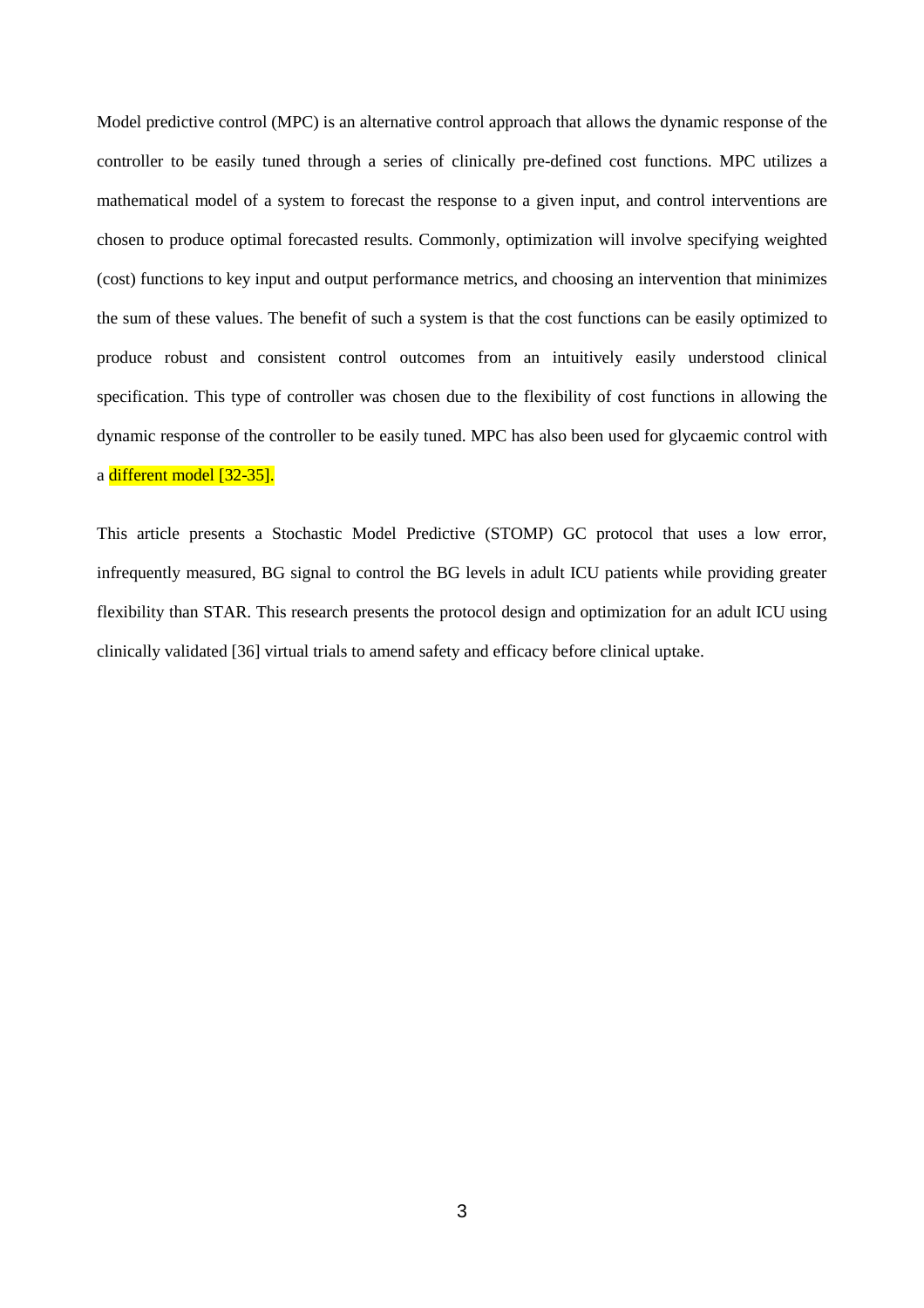Model predictive control (MPC) is an alternative control approach that allows the dynamic response of the controller to be easily tuned through a series of clinically pre-defined cost functions. MPC utilizes a mathematical model of a system to forecast the response to a given input, and control interventions are chosen to produce optimal forecasted results. Commonly, optimization will involve specifying weighted (cost) functions to key input and output performance metrics, and choosing an intervention that minimizes the sum of these values. The benefit of such a system is that the cost functions can be easily optimized to produce robust and consistent control outcomes from an intuitively easily understood clinical specification. This type of controller was chosen due to the flexibility of cost functions in allowing the dynamic response of the controller to be easily tuned. MPC has also been used for glycaemic control with a different model [\[32-35\]](#page-16-9).

This article presents a Stochastic Model Predictive (STOMP) GC protocol that uses a low error, infrequently measured, BG signal to control the BG levels in adult ICU patients while providing greater flexibility than STAR. This research presents the protocol design and optimization for an adult ICU using clinically validated [\[36\]](#page-16-10) virtual trials to amend safety and efficacy before clinical uptake.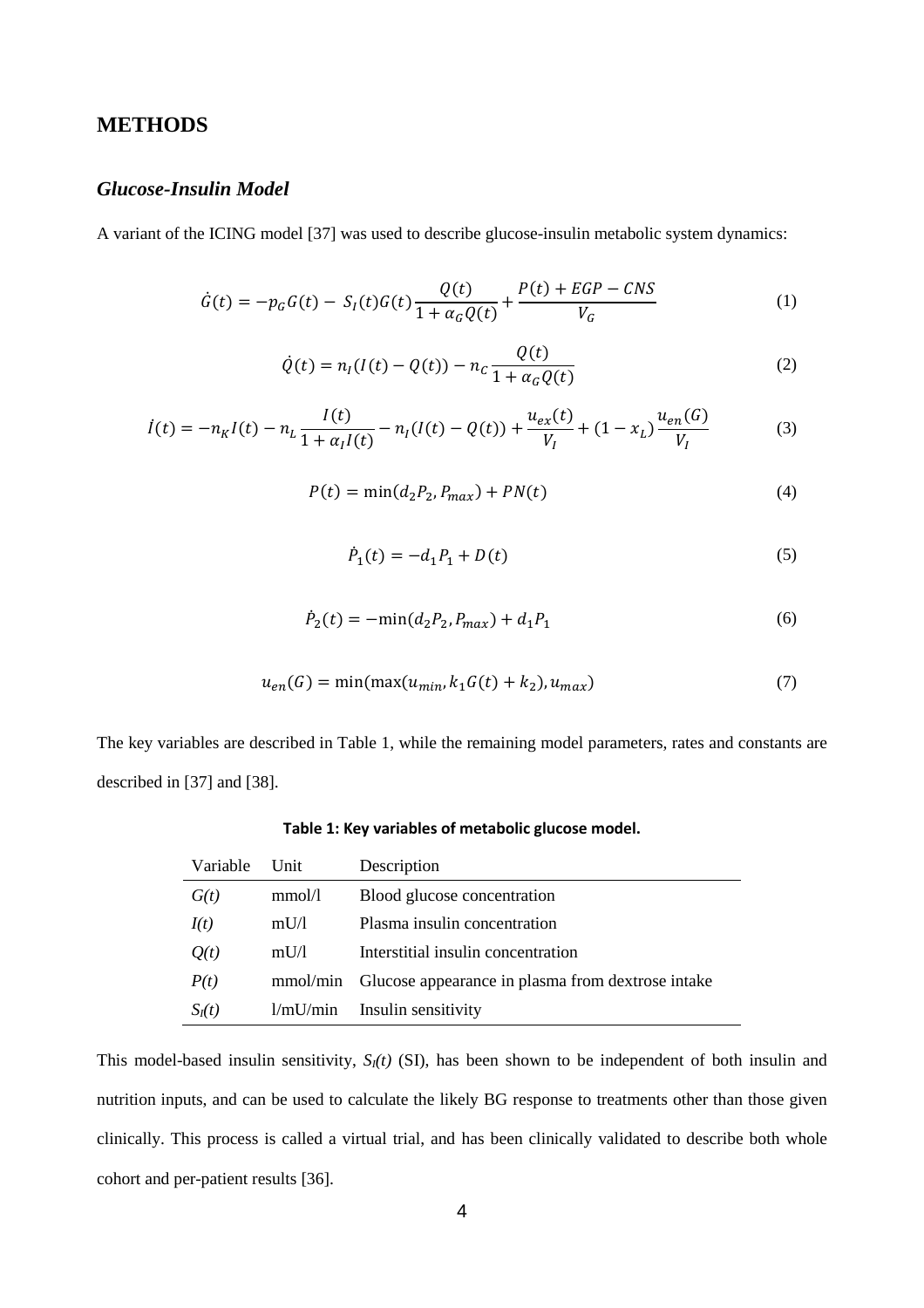### **METHODS**

### *Glucose-Insulin Model*

A variant of the ICING model [\[37\]](#page-16-11) was used to describe glucose-insulin metabolic system dynamics:

$$
\dot{G}(t) = -p_G G(t) - S_I(t)G(t)\frac{Q(t)}{1 + \alpha_G Q(t)} + \frac{P(t) + EGP - CNS}{V_G}
$$
\n(1)

$$
\dot{Q}(t) = n_I (I(t) - Q(t)) - n_C \frac{Q(t)}{1 + \alpha_G Q(t)}
$$
\n(2)

$$
\dot{I}(t) = -n_K I(t) - n_L \frac{I(t)}{1 + \alpha_I I(t)} - n_I (I(t) - Q(t)) + \frac{u_{ex}(t)}{V_I} + (1 - x_L) \frac{u_{en}(G)}{V_I}
$$
(3)

$$
P(t) = \min(d_2 P_2, P_{max}) + PN(t)
$$
\n(4)

$$
\dot{P}_1(t) = -d_1 P_1 + D(t) \tag{5}
$$

$$
\dot{P}_2(t) = -\min(d_2 P_2, P_{max}) + d_1 P_1 \tag{6}
$$

$$
u_{en}(G) = \min(\max(u_{min}, k_1 G(t) + k_2), u_{max})
$$
\n(7)

<span id="page-3-0"></span>The key variables are described in [Table 1,](#page-3-0) while the remaining model parameters, rates and constants are described in [\[37\]](#page-16-11) and [\[38\]](#page-17-0).

| Variable | Unit     | Description                                                |
|----------|----------|------------------------------------------------------------|
| G(t)     | mmol/l   | Blood glucose concentration                                |
| I(t)     | mU/1     | Plasma insulin concentration                               |
| Q(t)     | mU/1     | Interstitial insulin concentration                         |
| P(t)     |          | mmol/min Glucose appearance in plasma from dextrose intake |
| $S_I(t)$ | 1/mU/min | Insulin sensitivity                                        |

**Table 1: Key variables of metabolic glucose model.**

This model-based insulin sensitivity, *SI(t)* (SI), has been shown to be independent of both insulin and nutrition inputs, and can be used to calculate the likely BG response to treatments other than those given clinically. This process is called a virtual trial, and has been clinically validated to describe both whole cohort and per-patient results [\[36\]](#page-16-10).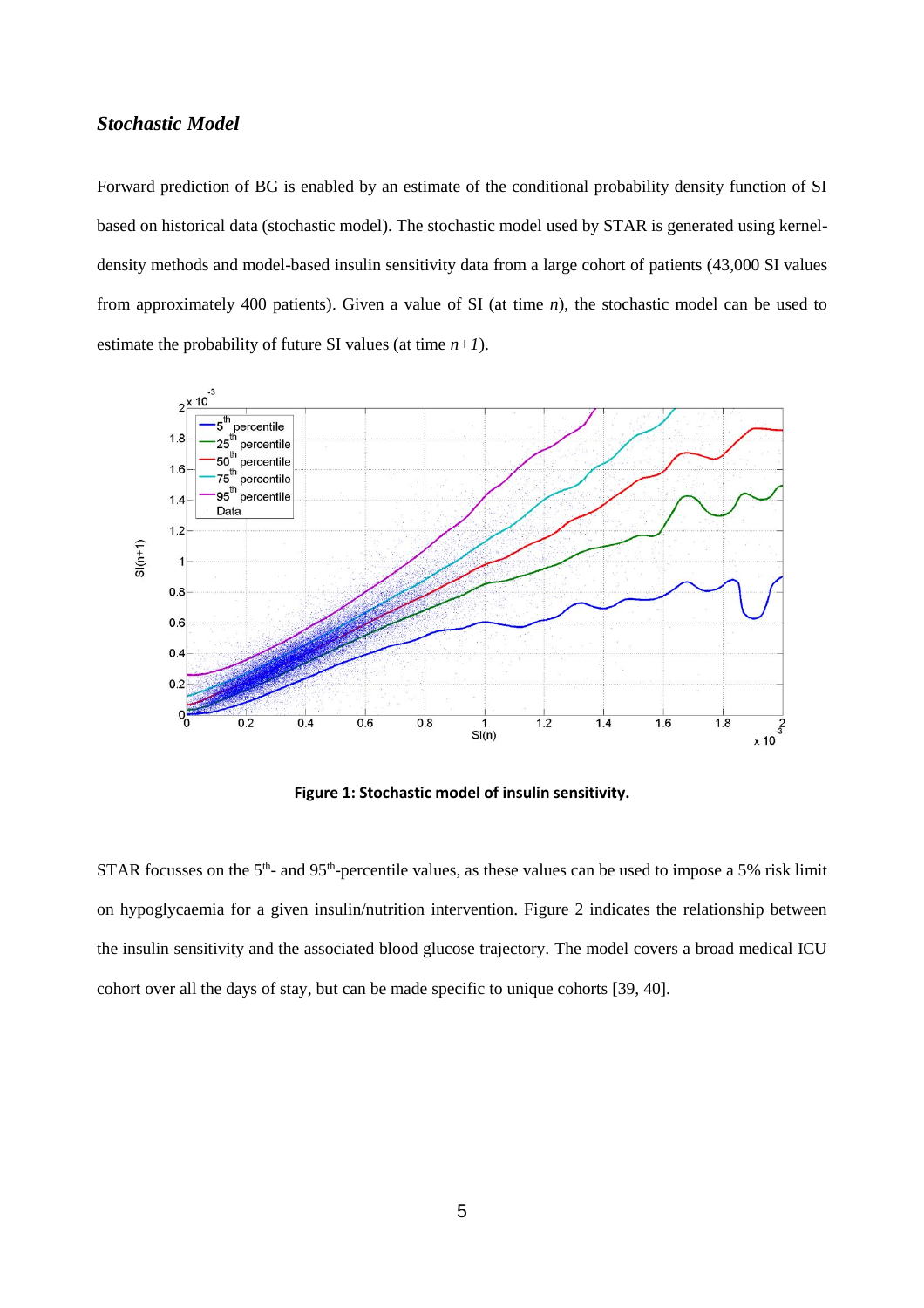### *Stochastic Model*

Forward prediction of BG is enabled by an estimate of the conditional probability density function of SI based on historical data (stochastic model). The stochastic model used by STAR is generated using kerneldensity methods and model-based insulin sensitivity data from a large cohort of patients (43,000 SI values from approximately 400 patients). Given a value of SI (at time *n*), the stochastic model can be used to estimate the probability of future SI values (at time  $n+1$ ).



**Figure 1: Stochastic model of insulin sensitivity.**

<span id="page-4-0"></span>STAR focusses on the  $5<sup>th</sup>$ - and  $95<sup>th</sup>$ -percentile values, as these values can be used to impose a 5% risk limit on hypoglycaemia for a given insulin/nutrition intervention. [Figure 2](#page-5-0) indicates the relationship between the insulin sensitivity and the associated blood glucose trajectory. The model covers a broad medical ICU cohort over all the days of stay, but can be made specific to unique cohorts [\[39,](#page-17-1) [40\]](#page-17-2).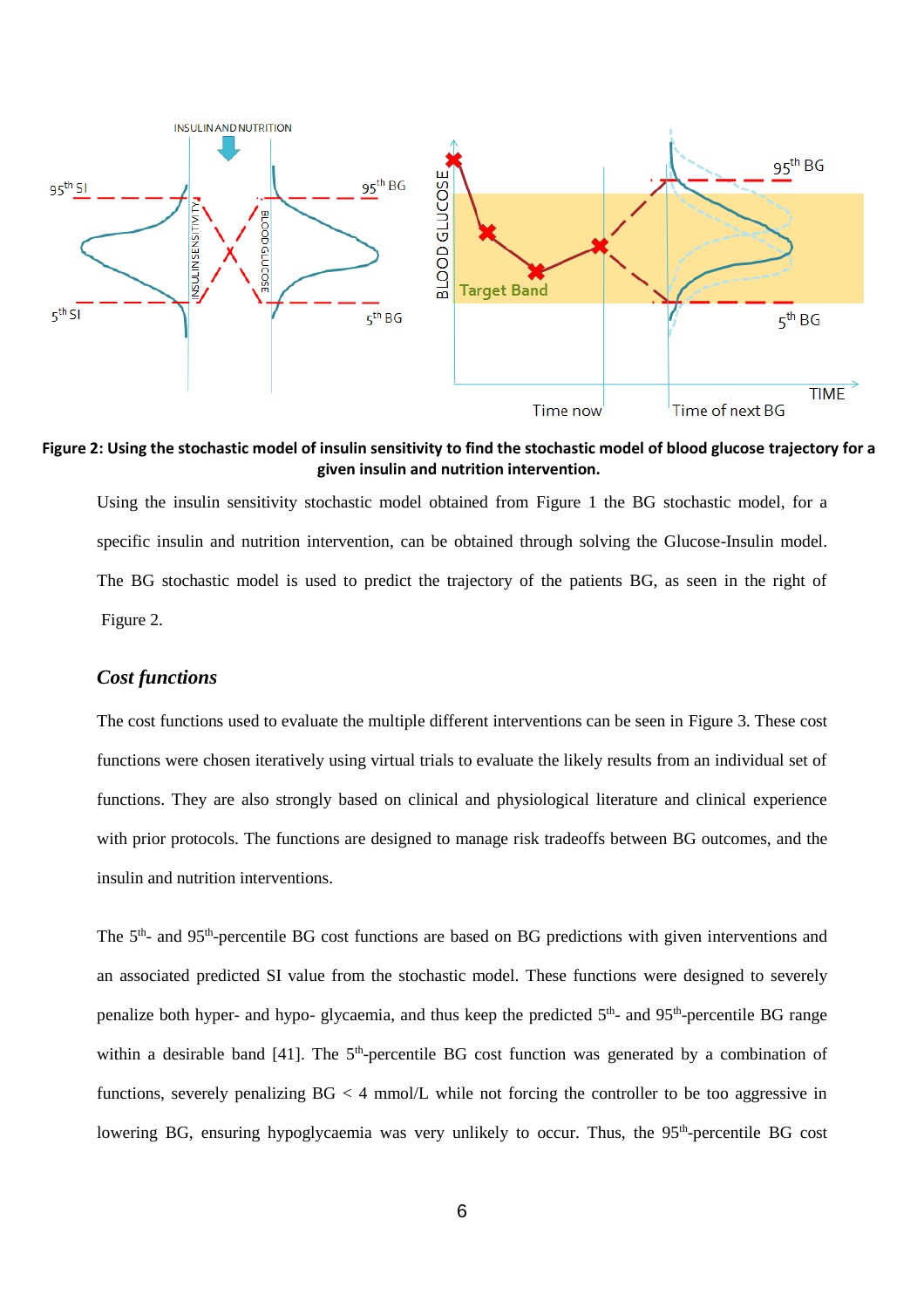

<span id="page-5-0"></span>**Figure 2: Using the stochastic model of insulin sensitivity to find the stochastic model of blood glucose trajectory for a given insulin and nutrition intervention.**

Using the insulin sensitivity stochastic model obtained from [Figure 1](#page-4-0) the BG stochastic model, for a specific insulin and nutrition intervention, can be obtained through solving the Glucose-Insulin model. The BG stochastic model is used to predict the trajectory of the patients BG, as seen in the right of [Figure 2.](#page-5-0)

### *Cost functions*

The cost functions used to evaluate the multiple different interventions can be seen in [Figure 3.](#page-6-0) These cost functions were chosen iteratively using virtual trials to evaluate the likely results from an individual set of functions. They are also strongly based on clinical and physiological literature and clinical experience with prior protocols. The functions are designed to manage risk tradeoffs between BG outcomes, and the insulin and nutrition interventions.

The 5<sup>th</sup>- and 95<sup>th</sup>-percentile BG cost functions are based on BG predictions with given interventions and an associated predicted SI value from the stochastic model. These functions were designed to severely penalize both hyper- and hypo- glycaemia, and thus keep the predicted 5<sup>th</sup>- and 95<sup>th</sup>-percentile BG range within a desirable band [\[41\]](#page-17-3). The 5<sup>th</sup>-percentile BG cost function was generated by a combination of functions, severely penalizing BG < 4 mmol/L while not forcing the controller to be too aggressive in lowering BG, ensuring hypoglycaemia was very unlikely to occur. Thus, the 95<sup>th</sup>-percentile BG cost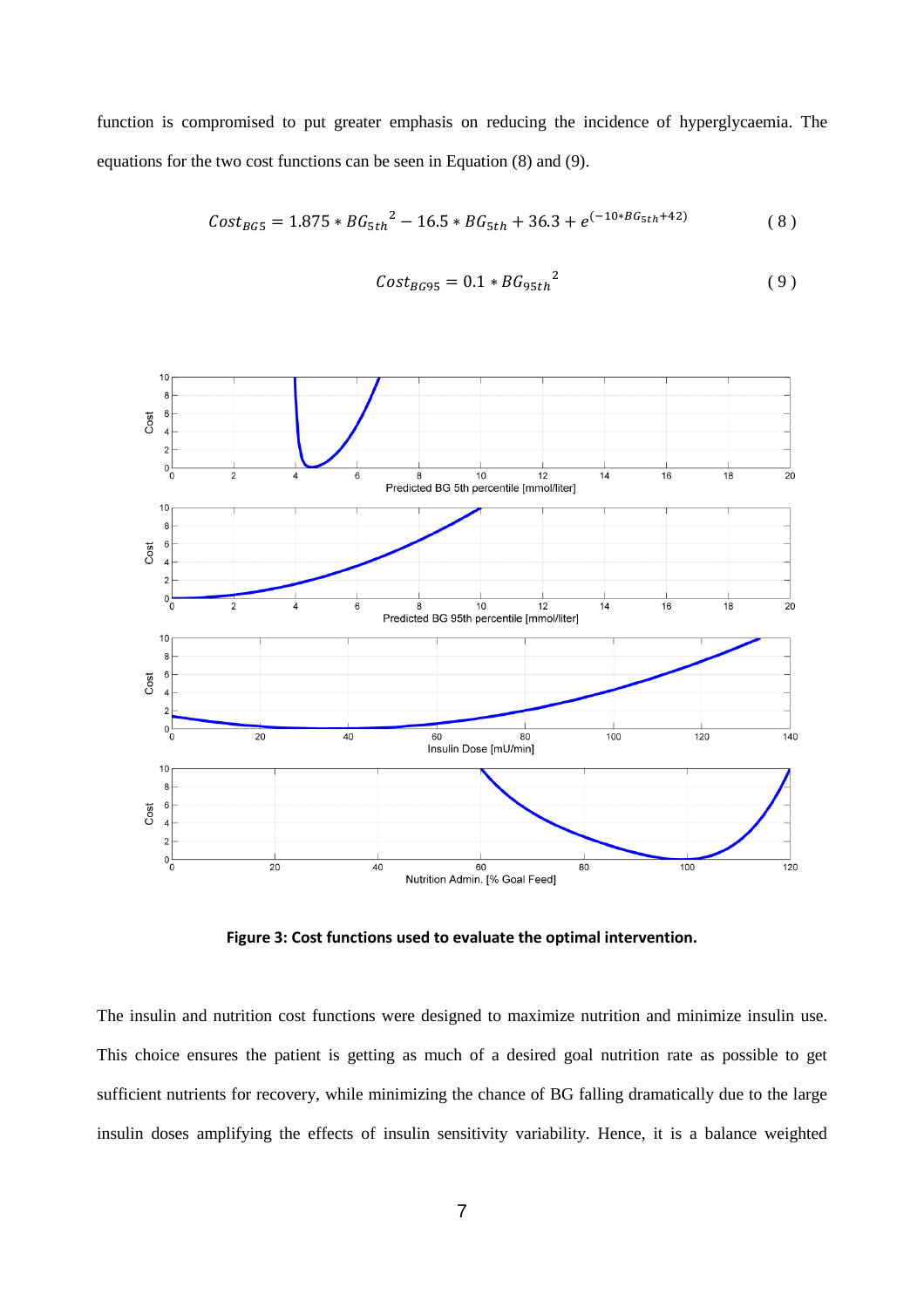function is compromised to put greater emphasis on reducing the incidence of hyperglycaemia. The equations for the two cost functions can be seen in Equation (8) and (9).

$$
Cost_{BG5} = 1.875 * BG_{5th}^2 - 16.5 * BG_{5th} + 36.3 + e^{(-10 * BG_{5th} + 42)}
$$
(8)

$$
Cost_{BG95} = 0.1 * BG_{95th}^2
$$
 (9)



**Figure 3: Cost functions used to evaluate the optimal intervention.**

<span id="page-6-0"></span>The insulin and nutrition cost functions were designed to maximize nutrition and minimize insulin use. This choice ensures the patient is getting as much of a desired goal nutrition rate as possible to get sufficient nutrients for recovery, while minimizing the chance of BG falling dramatically due to the large insulin doses amplifying the effects of insulin sensitivity variability. Hence, it is a balance weighted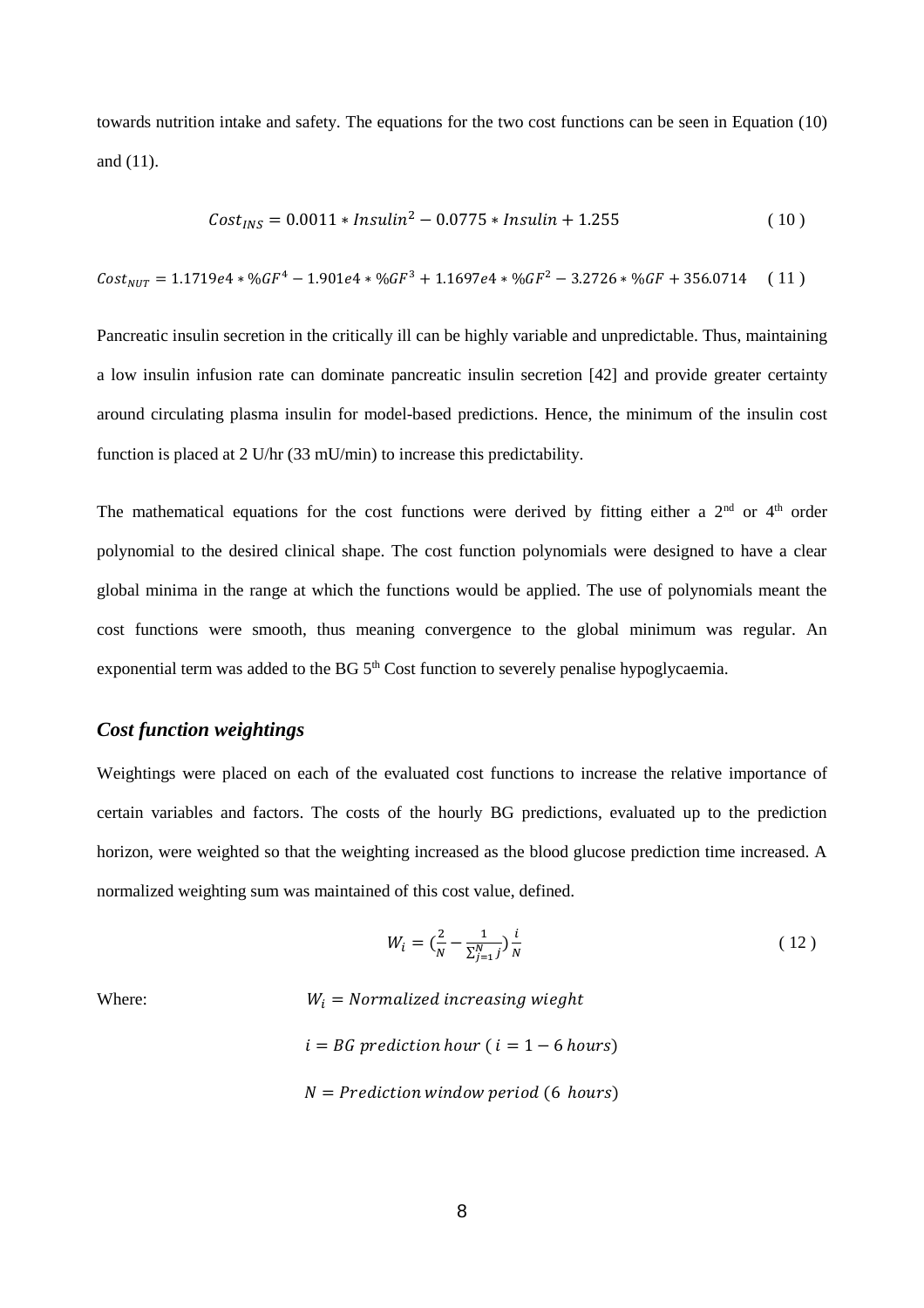towards nutrition intake and safety. The equations for the two cost functions can be seen in Equation (10) and (11).

$$
Cost_{INS} = 0.0011 * Insulin^2 - 0.0775 * Insulin + 1.255
$$
 (10)

 $Cost_{NUT} = 1.1719e4 * %GF^{4} - 1.901e4 * %GF^{3} + 1.1697e4 * %GF^{2} - 3.2726 * %GF + 356.0714$  (11)

Pancreatic insulin secretion in the critically ill can be highly variable and unpredictable. Thus, maintaining a low insulin infusion rate can dominate pancreatic insulin secretion [\[42\]](#page-17-4) and provide greater certainty around circulating plasma insulin for model-based predictions. Hence, the minimum of the insulin cost function is placed at 2 U/hr (33 mU/min) to increase this predictability.

The mathematical equations for the cost functions were derived by fitting either a  $2<sup>nd</sup>$  or  $4<sup>th</sup>$  order polynomial to the desired clinical shape. The cost function polynomials were designed to have a clear global minima in the range at which the functions would be applied. The use of polynomials meant the cost functions were smooth, thus meaning convergence to the global minimum was regular. An exponential term was added to the BG 5<sup>th</sup> Cost function to severely penalise hypoglycaemia.

### *Cost function weightings*

Weightings were placed on each of the evaluated cost functions to increase the relative importance of certain variables and factors. The costs of the hourly BG predictions, evaluated up to the prediction horizon, were weighted so that the weighting increased as the blood glucose prediction time increased. A normalized weighting sum was maintained of this cost value, defined.

$$
W_i = \left(\frac{2}{N} - \frac{1}{\sum_{j=1}^{N} j}\right) \frac{i}{N}
$$
 (12)

Where:  $W_i = Normalized increasing weight$  $i = BG$  prediction hour ( $i = 1 - 6$  hours)  $N = Prediction$  window period (6 hours)

#### 8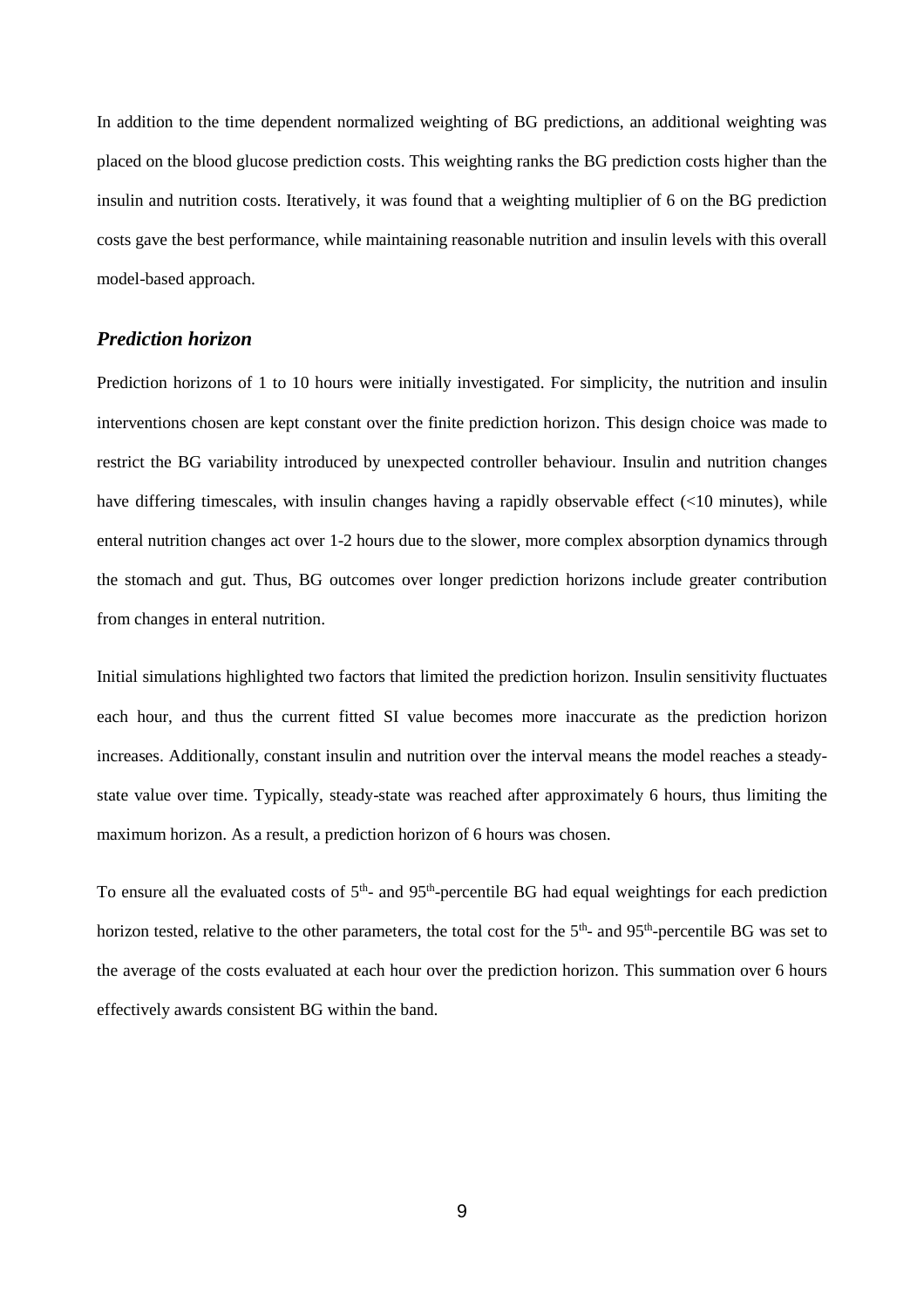In addition to the time dependent normalized weighting of BG predictions, an additional weighting was placed on the blood glucose prediction costs. This weighting ranks the BG prediction costs higher than the insulin and nutrition costs. Iteratively, it was found that a weighting multiplier of 6 on the BG prediction costs gave the best performance, while maintaining reasonable nutrition and insulin levels with this overall model-based approach.

#### *Prediction horizon*

Prediction horizons of 1 to 10 hours were initially investigated. For simplicity, the nutrition and insulin interventions chosen are kept constant over the finite prediction horizon. This design choice was made to restrict the BG variability introduced by unexpected controller behaviour. Insulin and nutrition changes have differing timescales, with insulin changes having a rapidly observable effect (<10 minutes), while enteral nutrition changes act over 1-2 hours due to the slower, more complex absorption dynamics through the stomach and gut. Thus, BG outcomes over longer prediction horizons include greater contribution from changes in enteral nutrition.

Initial simulations highlighted two factors that limited the prediction horizon. Insulin sensitivity fluctuates each hour, and thus the current fitted SI value becomes more inaccurate as the prediction horizon increases. Additionally, constant insulin and nutrition over the interval means the model reaches a steadystate value over time. Typically, steady-state was reached after approximately 6 hours, thus limiting the maximum horizon. As a result, a prediction horizon of 6 hours was chosen.

To ensure all the evaluated costs of  $5<sup>th</sup>$ - and  $95<sup>th</sup>$ -percentile BG had equal weightings for each prediction horizon tested, relative to the other parameters, the total cost for the 5<sup>th</sup>- and 95<sup>th</sup>-percentile BG was set to the average of the costs evaluated at each hour over the prediction horizon. This summation over 6 hours effectively awards consistent BG within the band.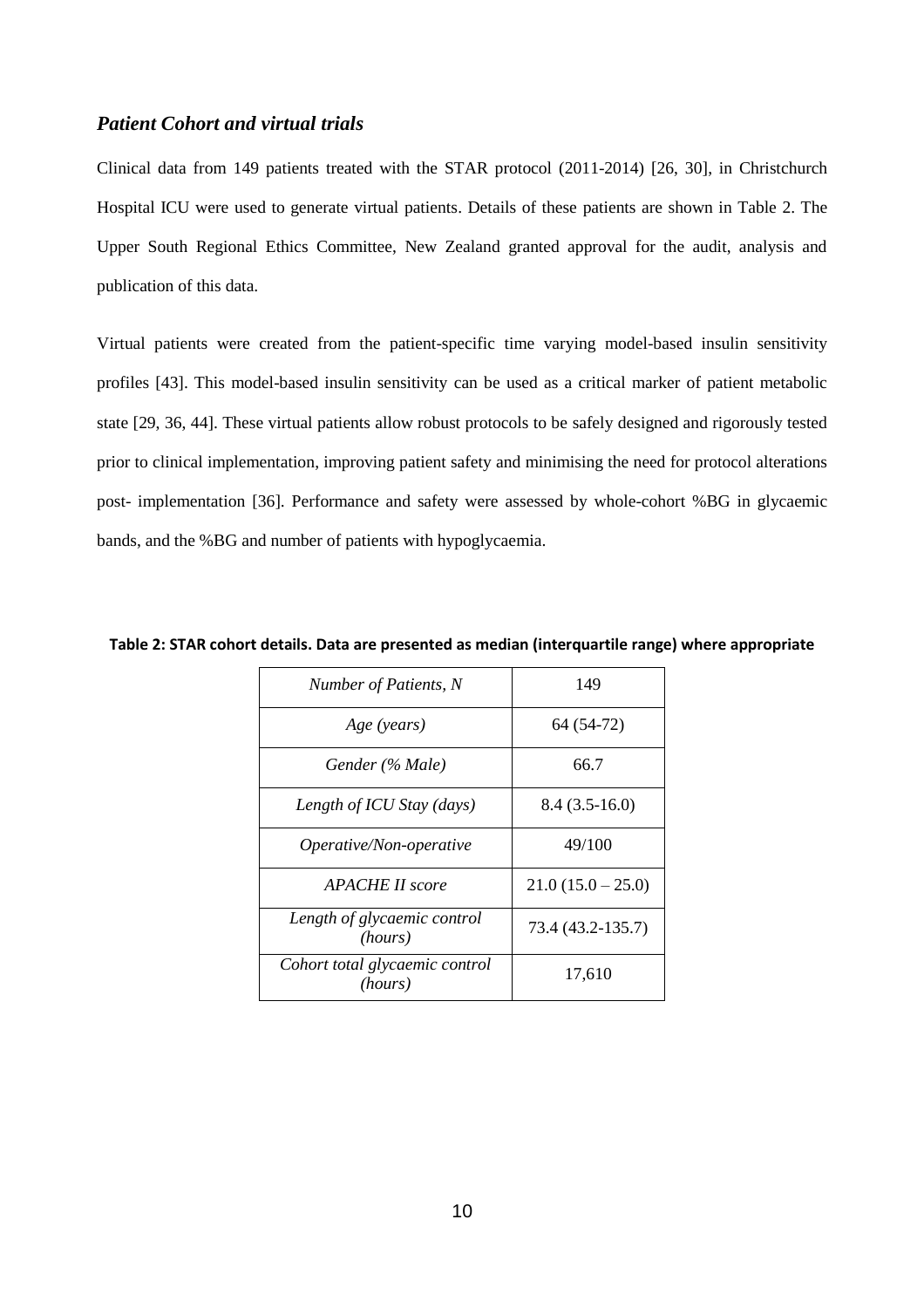### *Patient Cohort and virtual trials*

Clinical data from 149 patients treated with the STAR protocol (2011-2014) [\[26,](#page-16-3) [30\]](#page-16-7), in Christchurch Hospital ICU were used to generate virtual patients. Details of these patients are shown in [Table 2.](#page-9-0) The Upper South Regional Ethics Committee, New Zealand granted approval for the audit, analysis and publication of this data.

Virtual patients were created from the patient-specific time varying model-based insulin sensitivity profiles [\[43\]](#page-17-5). This model-based insulin sensitivity can be used as a critical marker of patient metabolic state [\[29,](#page-16-6) [36,](#page-16-10) [44\]](#page-17-6). These virtual patients allow robust protocols to be safely designed and rigorously tested prior to clinical implementation, improving patient safety and minimising the need for protocol alterations post- implementation [\[36\]](#page-16-10). Performance and safety were assessed by whole-cohort %BG in glycaemic bands, and the %BG and number of patients with hypoglycaemia.

| Number of Patients, N                     | 149               |  |  |
|-------------------------------------------|-------------------|--|--|
| Age (years)                               | 64 (54-72)        |  |  |
| Gender (% Male)                           | 66.7              |  |  |
| Length of ICU Stay (days)                 | $8.4(3.5-16.0)$   |  |  |
| Operative/Non-operative                   | 49/100            |  |  |
| APACHE II score                           | $21.0(15.0-25.0)$ |  |  |
| Length of glycaemic control<br>(hours)    | 73.4 (43.2-135.7) |  |  |
| Cohort total glycaemic control<br>(hours) | 17,610            |  |  |

<span id="page-9-0"></span>**Table 2: STAR cohort details. Data are presented as median (interquartile range) where appropriate**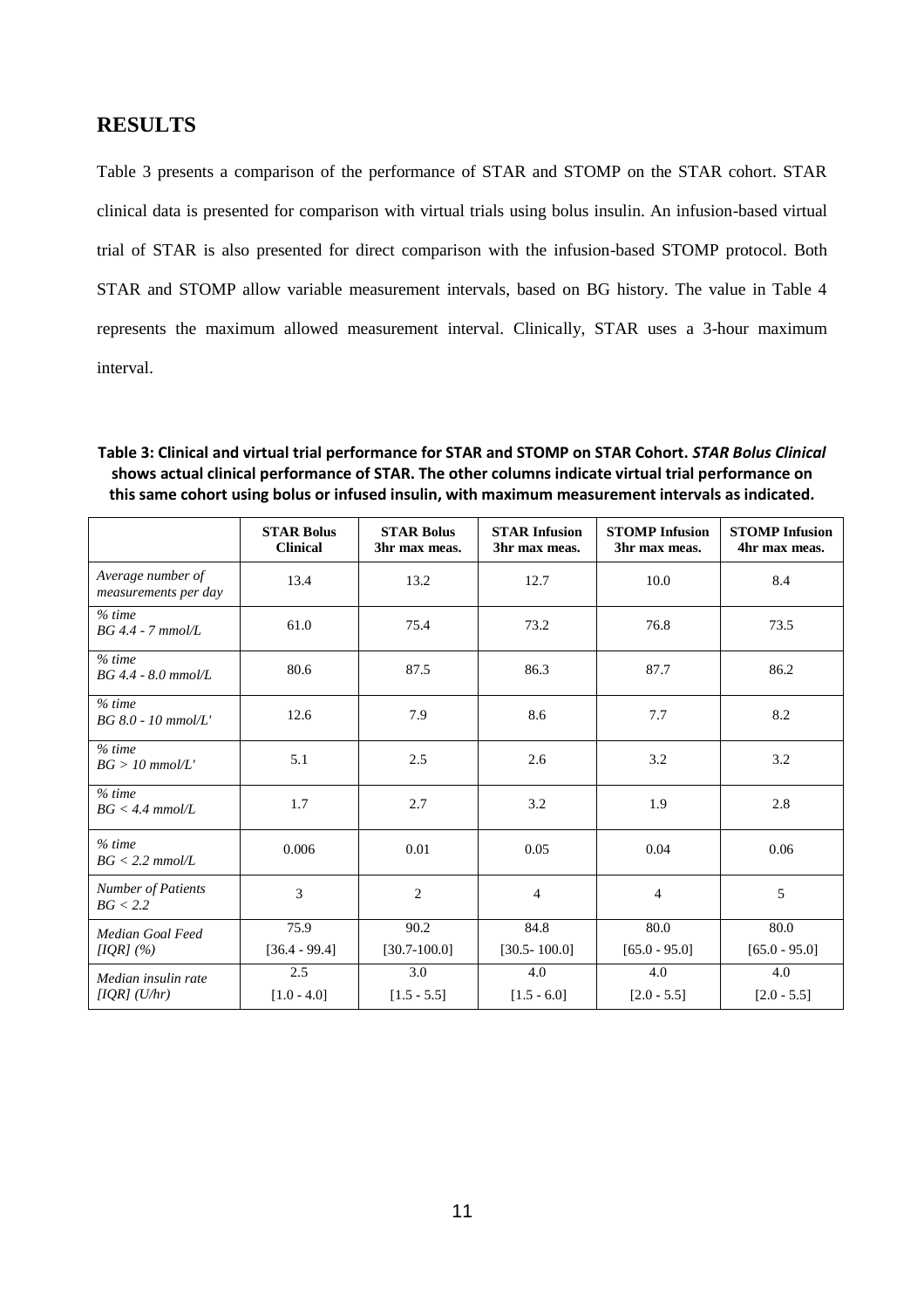### **RESULTS**

[Table 3](#page-10-0) presents a comparison of the performance of STAR and STOMP on the STAR cohort. STAR clinical data is presented for comparison with virtual trials using bolus insulin. An infusion-based virtual trial of STAR is also presented for direct comparison with the infusion-based STOMP protocol. Both STAR and STOMP allow variable measurement intervals, based on BG history. The value in Table 4 represents the maximum allowed measurement interval. Clinically, STAR uses a 3-hour maximum interval.

<span id="page-10-0"></span>**Table 3: Clinical and virtual trial performance for STAR and STOMP on STAR Cohort.** *STAR Bolus Clinical* **shows actual clinical performance of STAR. The other columns indicate virtual trial performance on this same cohort using bolus or infused insulin, with maximum measurement intervals as indicated.**

|                                           | <b>STAR Bolus</b><br><b>Clinical</b> | <b>STAR Bolus</b><br>3hr max meas. | <b>STAR Infusion</b><br>3hr max meas. | <b>STOMP</b> Infusion<br>3hr max meas. | <b>STOMP</b> Infusion<br>4hr max meas. |
|-------------------------------------------|--------------------------------------|------------------------------------|---------------------------------------|----------------------------------------|----------------------------------------|
| Average number of<br>measurements per day | 13.4                                 | 13.2                               | 12.7                                  | 10.0                                   | 8.4                                    |
| $%$ time<br>$BG4.4 - 7$ mmol/L            | 61.0                                 | 75.4                               | 73.2                                  | 76.8                                   | 73.5                                   |
| % time<br>$BG 4.4 - 8.0$ mmol/L           | 80.6                                 | 87.5                               | 86.3                                  | 87.7                                   | 86.2                                   |
| % time<br>$BG 8.0 - 10$ mmol/L'           | 12.6                                 | 7.9                                | 8.6                                   | 7.7                                    | 8.2                                    |
| $%$ time<br>$BG > 10$ mmol/L'             | 5.1                                  | 2.5                                | 2.6                                   | 3.2                                    | 3.2                                    |
| $%$ time<br>$BG < 4.4$ mmol/L             | 1.7                                  | 2.7                                | 3.2                                   | 1.9                                    | 2.8                                    |
| $%$ time<br>$BG < 2.2$ mmol/L             | 0.006                                | 0.01                               | 0.05                                  | 0.04                                   | 0.06                                   |
| <b>Number of Patients</b><br>BG < 2.2     | 3                                    | $\overline{2}$                     | $\overline{4}$                        | $\overline{4}$                         | 5                                      |
| Median Goal Feed                          | 75.9                                 | 90.2                               | 84.8                                  | 80.0                                   | 80.0                                   |
| [IQR] $(%)$                               | $[36.4 - 99.4]$                      | $[30.7 - 100.0]$                   | $[30.5 - 100.0]$                      | $[65.0 - 95.0]$                        | $[65.0 - 95.0]$                        |
| Median insulin rate                       | 2.5                                  | 3.0                                | 4.0                                   | 4.0                                    | 4.0                                    |
| [IQR] (U/hr)                              | $[1.0 - 4.0]$                        | $[1.5 - 5.5]$                      | $[1.5 - 6.0]$                         | $[2.0 - 5.5]$                          | $[2.0 - 5.5]$                          |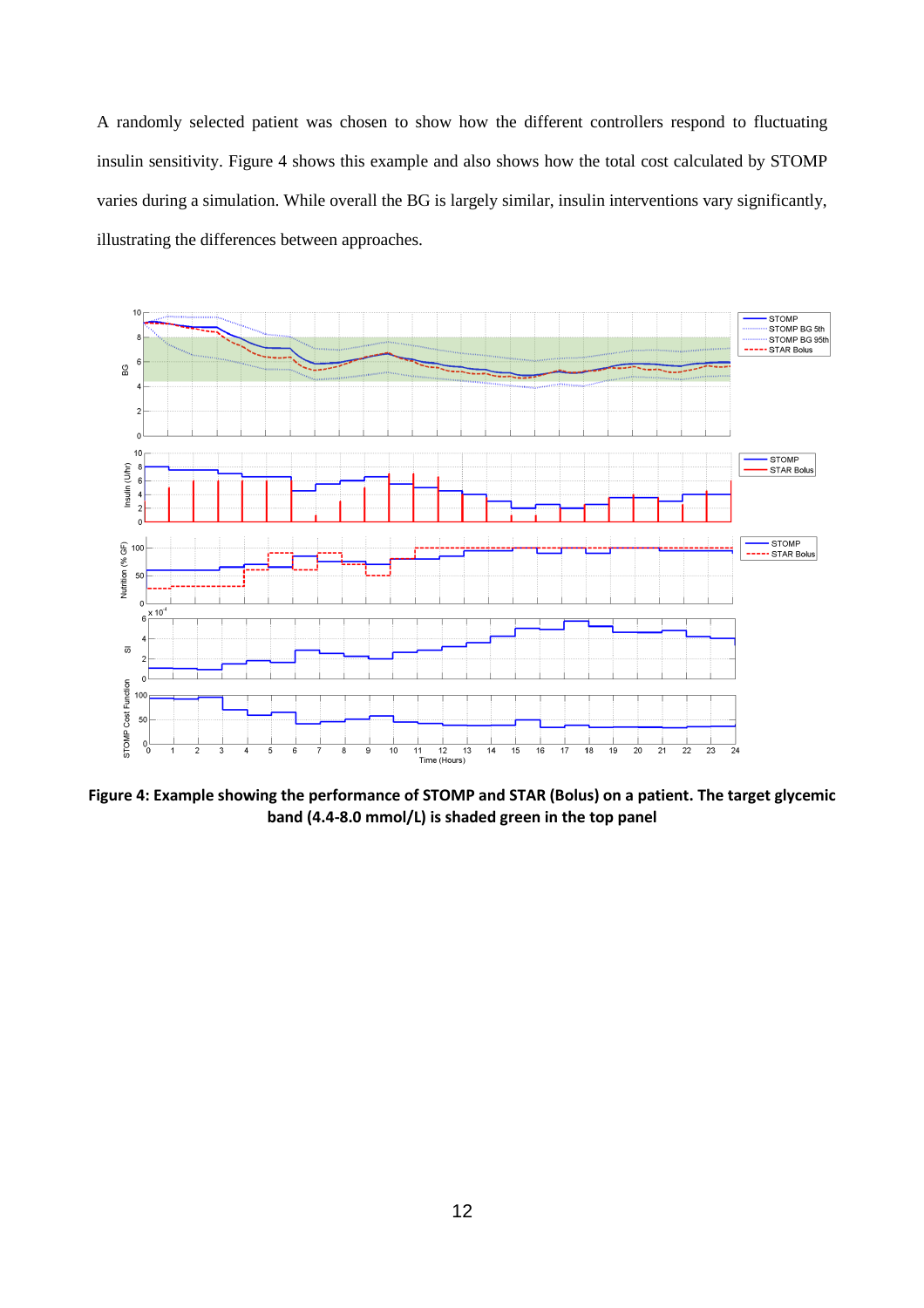A randomly selected patient was chosen to show how the different controllers respond to fluctuating insulin sensitivity. [Figure 4](#page-11-0) shows this example and also shows how the total cost calculated by STOMP varies during a simulation. While overall the BG is largely similar, insulin interventions vary significantly, illustrating the differences between approaches.



<span id="page-11-0"></span>**Figure 4: Example showing the performance of STOMP and STAR (Bolus) on a patient. The target glycemic band (4.4-8.0 mmol/L) is shaded green in the top panel**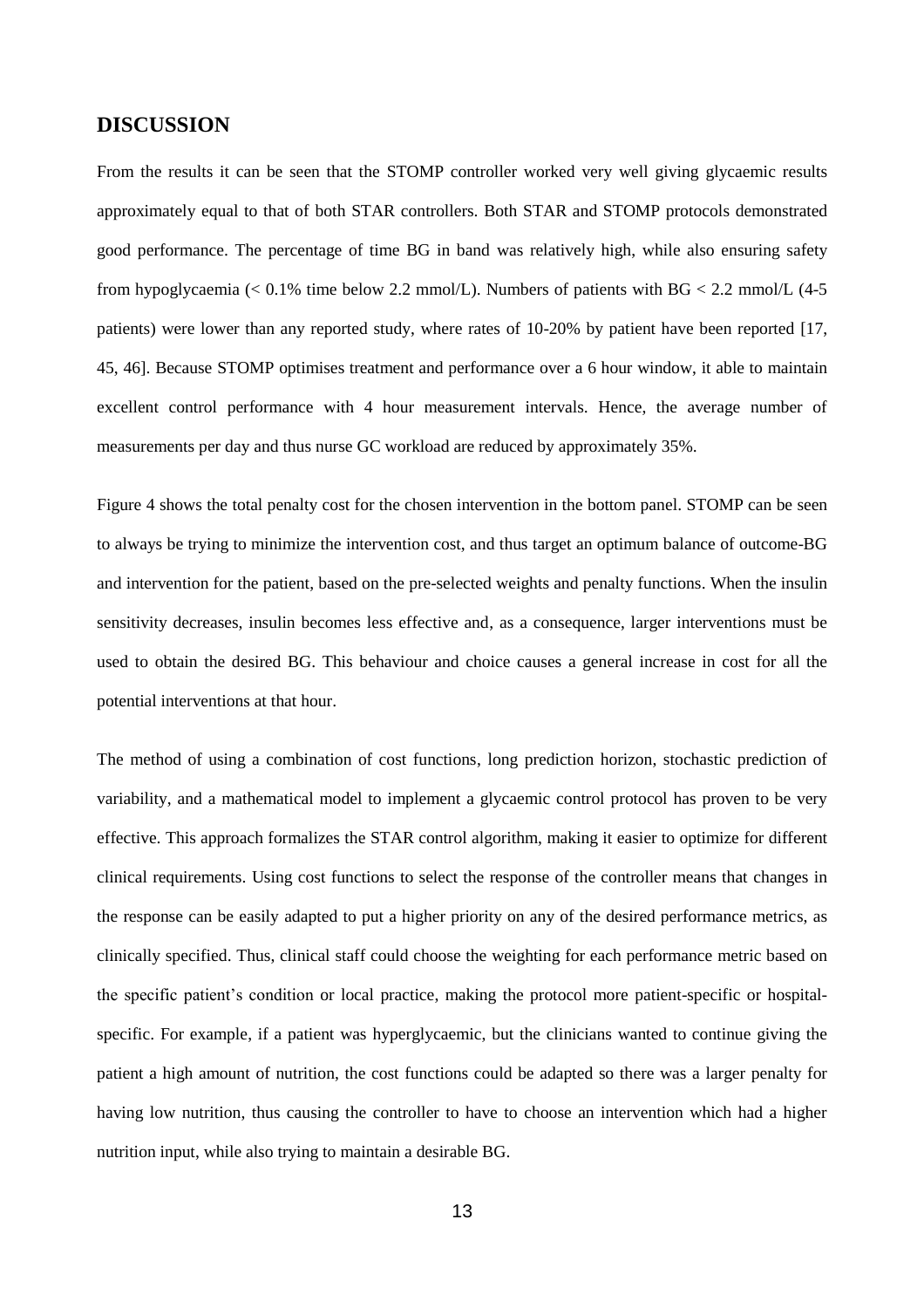### **DISCUSSION**

From the results it can be seen that the STOMP controller worked very well giving glycaemic results approximately equal to that of both STAR controllers. Both STAR and STOMP protocols demonstrated good performance. The percentage of time BG in band was relatively high, while also ensuring safety from hypoglycaemia  $\ll 0.1\%$  time below 2.2 mmol/L). Numbers of patients with BG  $\lt 2.2$  mmol/L  $(4-5)$ patients) were lower than any reported study, where rates of 10-20% by patient have been reported [\[17,](#page-15-11) [45,](#page-17-7) [46\]](#page-17-8). Because STOMP optimises treatment and performance over a 6 hour window, it able to maintain excellent control performance with 4 hour measurement intervals. Hence, the average number of measurements per day and thus nurse GC workload are reduced by approximately 35%.

[Figure 4](#page-11-0) shows the total penalty cost for the chosen intervention in the bottom panel. STOMP can be seen to always be trying to minimize the intervention cost, and thus target an optimum balance of outcome-BG and intervention for the patient, based on the pre-selected weights and penalty functions. When the insulin sensitivity decreases, insulin becomes less effective and, as a consequence, larger interventions must be used to obtain the desired BG. This behaviour and choice causes a general increase in cost for all the potential interventions at that hour.

The method of using a combination of cost functions, long prediction horizon, stochastic prediction of variability, and a mathematical model to implement a glycaemic control protocol has proven to be very effective. This approach formalizes the STAR control algorithm, making it easier to optimize for different clinical requirements. Using cost functions to select the response of the controller means that changes in the response can be easily adapted to put a higher priority on any of the desired performance metrics, as clinically specified. Thus, clinical staff could choose the weighting for each performance metric based on the specific patient's condition or local practice, making the protocol more patient-specific or hospitalspecific. For example, if a patient was hyperglycaemic, but the clinicians wanted to continue giving the patient a high amount of nutrition, the cost functions could be adapted so there was a larger penalty for having low nutrition, thus causing the controller to have to choose an intervention which had a higher nutrition input, while also trying to maintain a desirable BG.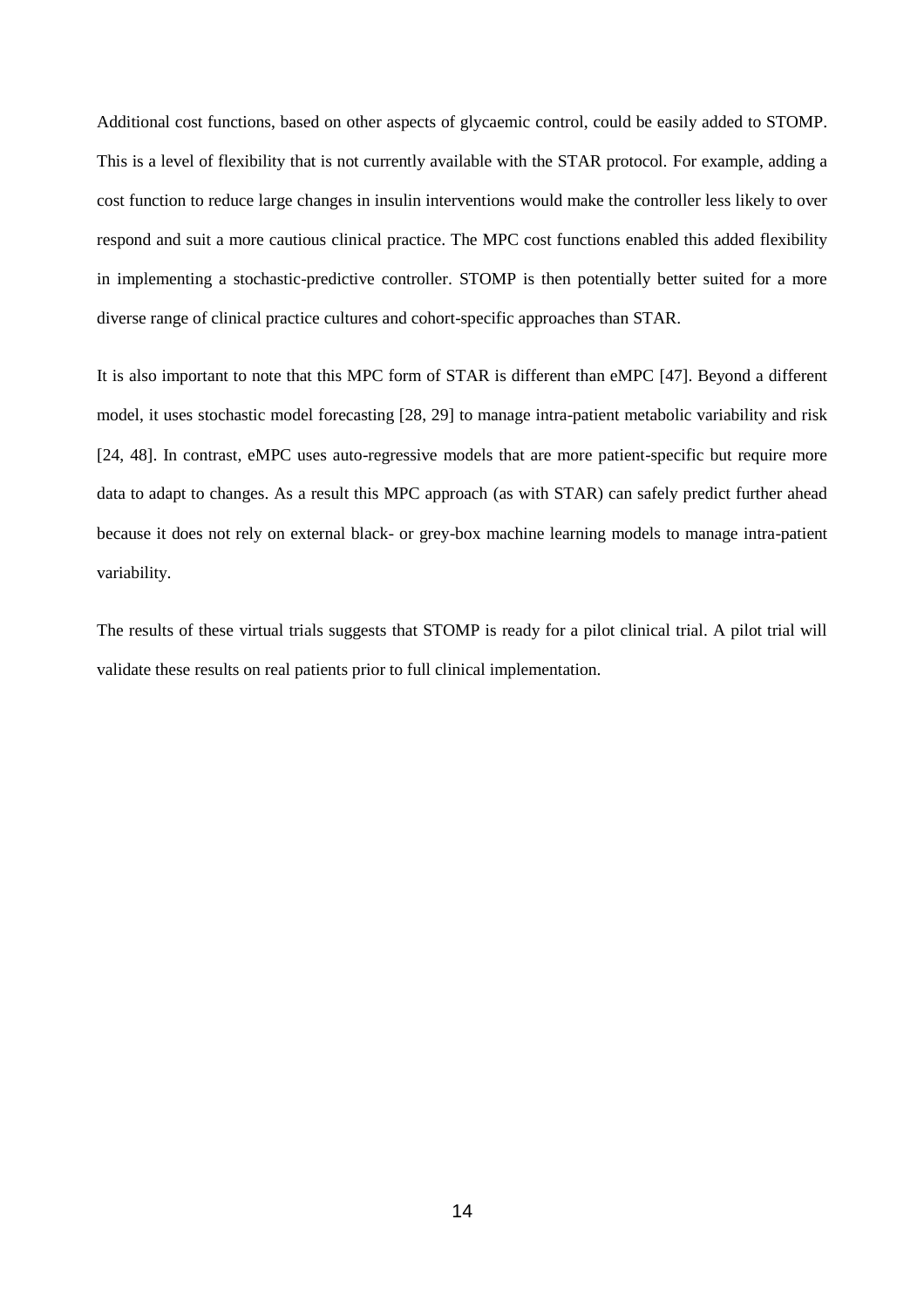Additional cost functions, based on other aspects of glycaemic control, could be easily added to STOMP. This is a level of flexibility that is not currently available with the STAR protocol. For example, adding a cost function to reduce large changes in insulin interventions would make the controller less likely to over respond and suit a more cautious clinical practice. The MPC cost functions enabled this added flexibility in implementing a stochastic-predictive controller. STOMP is then potentially better suited for a more diverse range of clinical practice cultures and cohort-specific approaches than STAR.

It is also important to note that this MPC form of STAR is different than eMPC [\[47\]](#page-17-9). Beyond a different model, it uses stochastic model forecasting [\[28,](#page-16-5) [29\]](#page-16-6) to manage intra-patient metabolic variability and risk [\[24,](#page-16-1) [48\]](#page-17-10). In contrast, eMPC uses auto-regressive models that are more patient-specific but require more data to adapt to changes. As a result this MPC approach (as with STAR) can safely predict further ahead because it does not rely on external black- or grey-box machine learning models to manage intra-patient variability.

The results of these virtual trials suggests that STOMP is ready for a pilot clinical trial. A pilot trial will validate these results on real patients prior to full clinical implementation.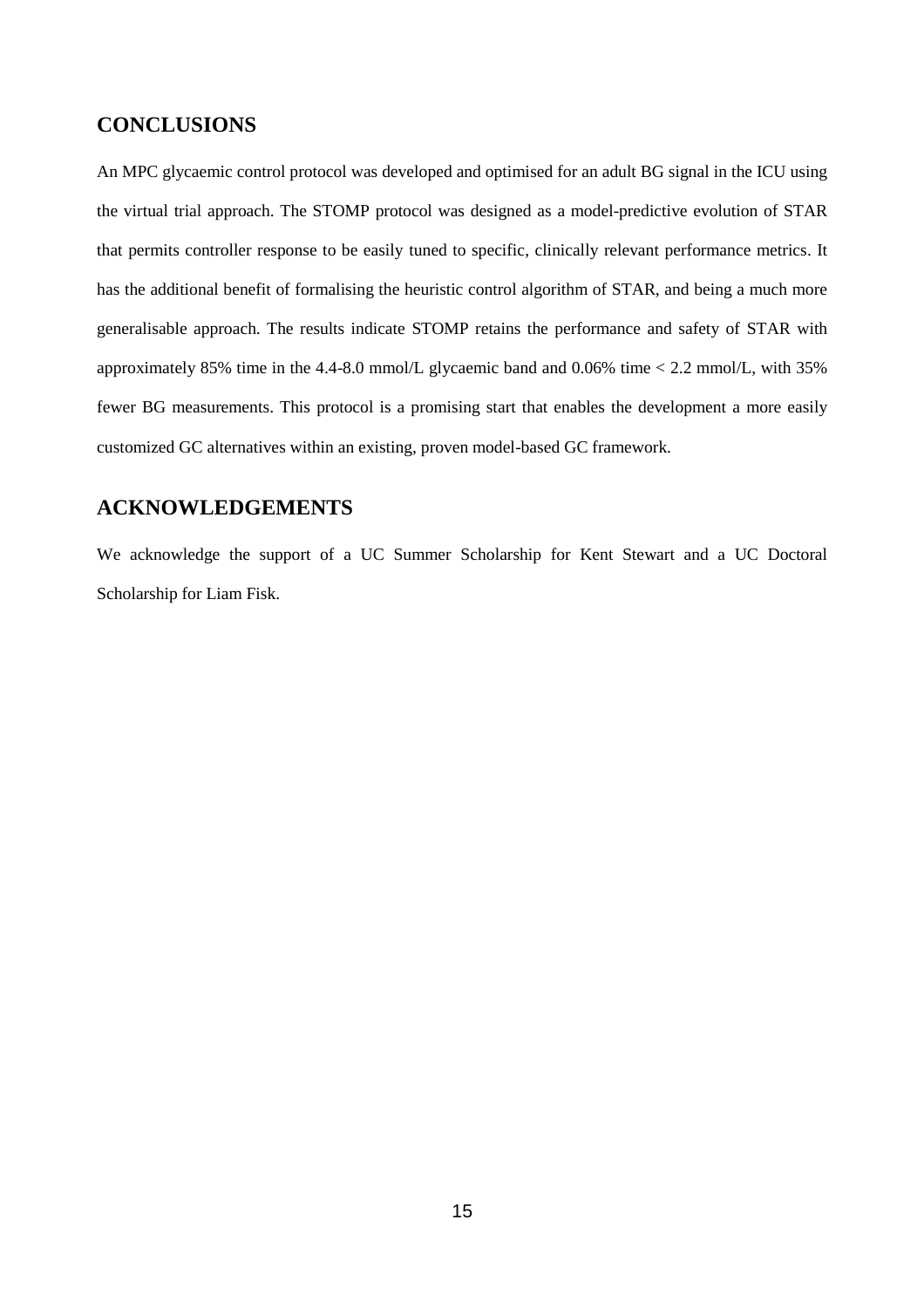### **CONCLUSIONS**

An MPC glycaemic control protocol was developed and optimised for an adult BG signal in the ICU using the virtual trial approach. The STOMP protocol was designed as a model-predictive evolution of STAR that permits controller response to be easily tuned to specific, clinically relevant performance metrics. It has the additional benefit of formalising the heuristic control algorithm of STAR, and being a much more generalisable approach. The results indicate STOMP retains the performance and safety of STAR with approximately 85% time in the 4.4-8.0 mmol/L glycaemic band and 0.06% time < 2.2 mmol/L, with 35% fewer BG measurements. This protocol is a promising start that enables the development a more easily customized GC alternatives within an existing, proven model-based GC framework.

### **ACKNOWLEDGEMENTS**

We acknowledge the support of a UC Summer Scholarship for Kent Stewart and a UC Doctoral Scholarship for Liam Fisk.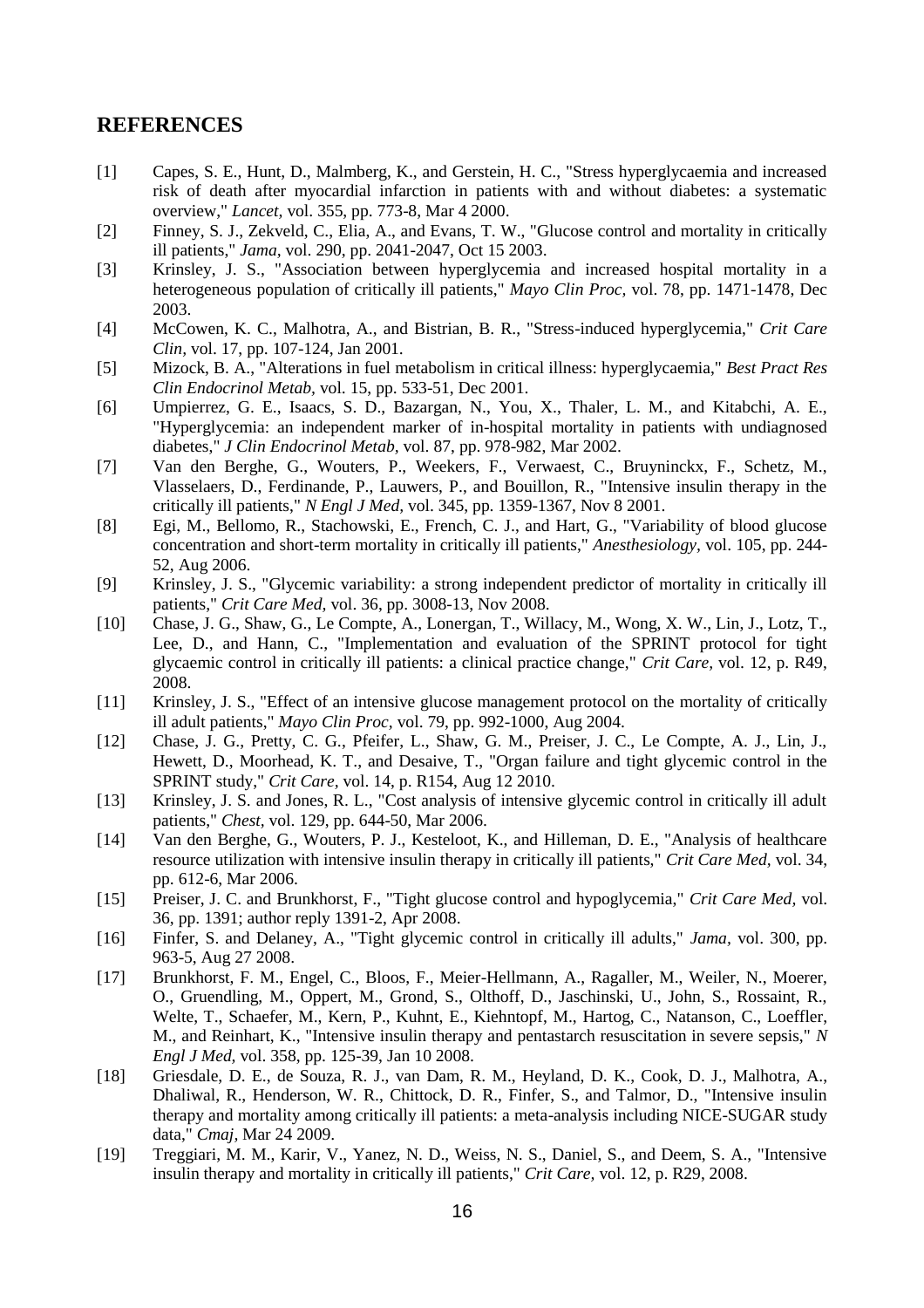### **REFERENCES**

- <span id="page-15-0"></span>[1] Capes, S. E., Hunt, D., Malmberg, K., and Gerstein, H. C., "Stress hyperglycaemia and increased risk of death after myocardial infarction in patients with and without diabetes: a systematic overview," *Lancet,* vol. 355, pp. 773-8, Mar 4 2000.
- [2] Finney, S. J., Zekveld, C., Elia, A., and Evans, T. W., "Glucose control and mortality in critically ill patients," *Jama,* vol. 290, pp. 2041-2047, Oct 15 2003.
- <span id="page-15-1"></span>[3] Krinsley, J. S., "Association between hyperglycemia and increased hospital mortality in a heterogeneous population of critically ill patients," *Mayo Clin Proc,* vol. 78, pp. 1471-1478, Dec 2003.
- [4] McCowen, K. C., Malhotra, A., and Bistrian, B. R., "Stress-induced hyperglycemia," *Crit Care Clin,* vol. 17, pp. 107-124, Jan 2001.
- [5] Mizock, B. A., "Alterations in fuel metabolism in critical illness: hyperglycaemia," *Best Pract Res Clin Endocrinol Metab,* vol. 15, pp. 533-51, Dec 2001.
- [6] Umpierrez, G. E., Isaacs, S. D., Bazargan, N., You, X., Thaler, L. M., and Kitabchi, A. E., "Hyperglycemia: an independent marker of in-hospital mortality in patients with undiagnosed diabetes," *J Clin Endocrinol Metab,* vol. 87, pp. 978-982, Mar 2002.
- <span id="page-15-4"></span>[7] Van den Berghe, G., Wouters, P., Weekers, F., Verwaest, C., Bruyninckx, F., Schetz, M., Vlasselaers, D., Ferdinande, P., Lauwers, P., and Bouillon, R., "Intensive insulin therapy in the critically ill patients," *N Engl J Med,* vol. 345, pp. 1359-1367, Nov 8 2001.
- <span id="page-15-2"></span>[8] Egi, M., Bellomo, R., Stachowski, E., French, C. J., and Hart, G., "Variability of blood glucose concentration and short-term mortality in critically ill patients," *Anesthesiology,* vol. 105, pp. 244- 52, Aug 2006.
- <span id="page-15-3"></span>[9] Krinsley, J. S., "Glycemic variability: a strong independent predictor of mortality in critically ill patients," *Crit Care Med,* vol. 36, pp. 3008-13, Nov 2008.
- <span id="page-15-5"></span>[10] Chase, J. G., Shaw, G., Le Compte, A., Lonergan, T., Willacy, M., Wong, X. W., Lin, J., Lotz, T., Lee, D., and Hann, C., "Implementation and evaluation of the SPRINT protocol for tight glycaemic control in critically ill patients: a clinical practice change," *Crit Care,* vol. 12, p. R49, 2008.
- <span id="page-15-6"></span>[11] Krinsley, J. S., "Effect of an intensive glucose management protocol on the mortality of critically ill adult patients," *Mayo Clin Proc,* vol. 79, pp. 992-1000, Aug 2004.
- <span id="page-15-7"></span>[12] Chase, J. G., Pretty, C. G., Pfeifer, L., Shaw, G. M., Preiser, J. C., Le Compte, A. J., Lin, J., Hewett, D., Moorhead, K. T., and Desaive, T., "Organ failure and tight glycemic control in the SPRINT study," *Crit Care,* vol. 14, p. R154, Aug 12 2010.
- <span id="page-15-8"></span>[13] Krinsley, J. S. and Jones, R. L., "Cost analysis of intensive glycemic control in critically ill adult patients," *Chest,* vol. 129, pp. 644-50, Mar 2006.
- <span id="page-15-9"></span>[14] Van den Berghe, G., Wouters, P. J., Kesteloot, K., and Hilleman, D. E., "Analysis of healthcare resource utilization with intensive insulin therapy in critically ill patients," *Crit Care Med,* vol. 34, pp. 612-6, Mar 2006.
- <span id="page-15-10"></span>[15] Preiser, J. C. and Brunkhorst, F., "Tight glucose control and hypoglycemia," *Crit Care Med,* vol. 36, pp. 1391; author reply 1391-2, Apr 2008.
- [16] Finfer, S. and Delaney, A., "Tight glycemic control in critically ill adults," *Jama,* vol. 300, pp. 963-5, Aug 27 2008.
- <span id="page-15-11"></span>[17] Brunkhorst, F. M., Engel, C., Bloos, F., Meier-Hellmann, A., Ragaller, M., Weiler, N., Moerer, O., Gruendling, M., Oppert, M., Grond, S., Olthoff, D., Jaschinski, U., John, S., Rossaint, R., Welte, T., Schaefer, M., Kern, P., Kuhnt, E., Kiehntopf, M., Hartog, C., Natanson, C., Loeffler, M., and Reinhart, K., "Intensive insulin therapy and pentastarch resuscitation in severe sepsis," *N Engl J Med,* vol. 358, pp. 125-39, Jan 10 2008.
- [18] Griesdale, D. E., de Souza, R. J., van Dam, R. M., Heyland, D. K., Cook, D. J., Malhotra, A., Dhaliwal, R., Henderson, W. R., Chittock, D. R., Finfer, S., and Talmor, D., "Intensive insulin therapy and mortality among critically ill patients: a meta-analysis including NICE-SUGAR study data," *Cmaj,* Mar 24 2009.
- [19] Treggiari, M. M., Karir, V., Yanez, N. D., Weiss, N. S., Daniel, S., and Deem, S. A., "Intensive insulin therapy and mortality in critically ill patients," *Crit Care,* vol. 12, p. R29, 2008.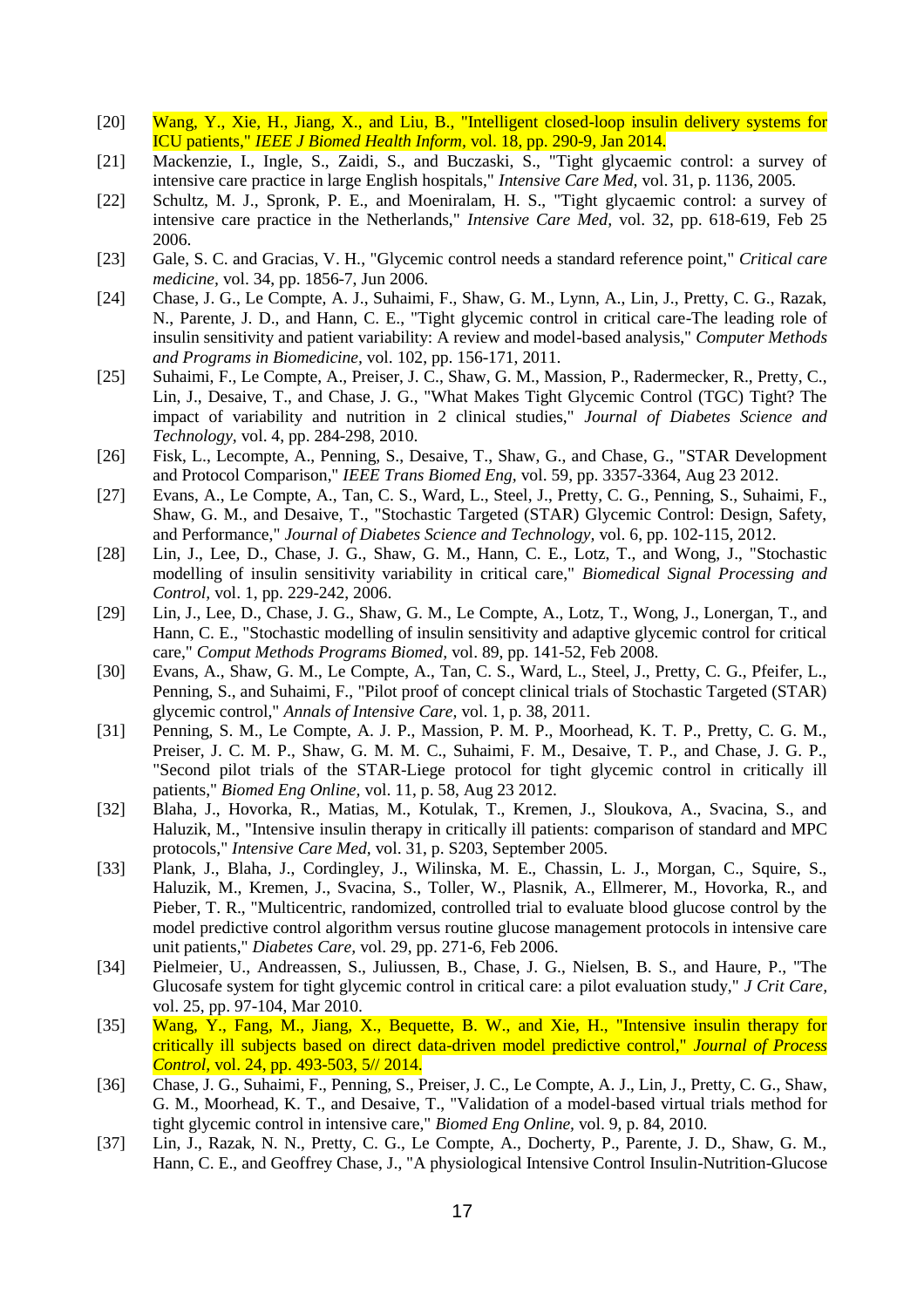- [20] Wang, Y., Xie, H., Jiang, X., and Liu, B., "Intelligent closed-loop insulin delivery systems for ICU patients," *IEEE J Biomed Health Inform,* vol. 18, pp. 290-9, Jan 2014.
- <span id="page-16-0"></span>[21] Mackenzie, I., Ingle, S., Zaidi, S., and Buczaski, S., "Tight glycaemic control: a survey of intensive care practice in large English hospitals," *Intensive Care Med,* vol. 31, p. 1136, 2005.
- [22] Schultz, M. J., Spronk, P. E., and Moeniralam, H. S., "Tight glycaemic control: a survey of intensive care practice in the Netherlands," *Intensive Care Med,* vol. 32, pp. 618-619, Feb 25 2006.
- [23] Gale, S. C. and Gracias, V. H., "Glycemic control needs a standard reference point," *Critical care medicine,* vol. 34, pp. 1856-7, Jun 2006.
- <span id="page-16-1"></span>[24] Chase, J. G., Le Compte, A. J., Suhaimi, F., Shaw, G. M., Lynn, A., Lin, J., Pretty, C. G., Razak, N., Parente, J. D., and Hann, C. E., "Tight glycemic control in critical care-The leading role of insulin sensitivity and patient variability: A review and model-based analysis," *Computer Methods and Programs in Biomedicine,* vol. 102, pp. 156-171, 2011.
- <span id="page-16-2"></span>[25] Suhaimi, F., Le Compte, A., Preiser, J. C., Shaw, G. M., Massion, P., Radermecker, R., Pretty, C., Lin, J., Desaive, T., and Chase, J. G., "What Makes Tight Glycemic Control (TGC) Tight? The impact of variability and nutrition in 2 clinical studies," *Journal of Diabetes Science and Technology,* vol. 4, pp. 284-298, 2010.
- <span id="page-16-3"></span>[26] Fisk, L., Lecompte, A., Penning, S., Desaive, T., Shaw, G., and Chase, G., "STAR Development and Protocol Comparison," *IEEE Trans Biomed Eng,* vol. 59, pp. 3357-3364, Aug 23 2012.
- <span id="page-16-4"></span>[27] Evans, A., Le Compte, A., Tan, C. S., Ward, L., Steel, J., Pretty, C. G., Penning, S., Suhaimi, F., Shaw, G. M., and Desaive, T., "Stochastic Targeted (STAR) Glycemic Control: Design, Safety, and Performance," *Journal of Diabetes Science and Technology,* vol. 6, pp. 102-115, 2012.
- <span id="page-16-5"></span>[28] Lin, J., Lee, D., Chase, J. G., Shaw, G. M., Hann, C. E., Lotz, T., and Wong, J., "Stochastic modelling of insulin sensitivity variability in critical care," *Biomedical Signal Processing and Control,* vol. 1, pp. 229-242, 2006.
- <span id="page-16-6"></span>[29] Lin, J., Lee, D., Chase, J. G., Shaw, G. M., Le Compte, A., Lotz, T., Wong, J., Lonergan, T., and Hann, C. E., "Stochastic modelling of insulin sensitivity and adaptive glycemic control for critical care," *Comput Methods Programs Biomed,* vol. 89, pp. 141-52, Feb 2008.
- <span id="page-16-7"></span>[30] Evans, A., Shaw, G. M., Le Compte, A., Tan, C. S., Ward, L., Steel, J., Pretty, C. G., Pfeifer, L., Penning, S., and Suhaimi, F., "Pilot proof of concept clinical trials of Stochastic Targeted (STAR) glycemic control," *Annals of Intensive Care,* vol. 1, p. 38, 2011.
- <span id="page-16-8"></span>[31] Penning, S. M., Le Compte, A. J. P., Massion, P. M. P., Moorhead, K. T. P., Pretty, C. G. M., Preiser, J. C. M. P., Shaw, G. M. M. C., Suhaimi, F. M., Desaive, T. P., and Chase, J. G. P., "Second pilot trials of the STAR-Liege protocol for tight glycemic control in critically ill patients," *Biomed Eng Online,* vol. 11, p. 58, Aug 23 2012.
- <span id="page-16-9"></span>[32] Blaha, J., Hovorka, R., Matias, M., Kotulak, T., Kremen, J., Sloukova, A., Svacina, S., and Haluzik, M., "Intensive insulin therapy in critically ill patients: comparison of standard and MPC protocols," *Intensive Care Med,* vol. 31, p. S203, September 2005.
- [33] Plank, J., Blaha, J., Cordingley, J., Wilinska, M. E., Chassin, L. J., Morgan, C., Squire, S., Haluzik, M., Kremen, J., Svacina, S., Toller, W., Plasnik, A., Ellmerer, M., Hovorka, R., and Pieber, T. R., "Multicentric, randomized, controlled trial to evaluate blood glucose control by the model predictive control algorithm versus routine glucose management protocols in intensive care unit patients," *Diabetes Care,* vol. 29, pp. 271-6, Feb 2006.
- [34] Pielmeier, U., Andreassen, S., Juliussen, B., Chase, J. G., Nielsen, B. S., and Haure, P., "The Glucosafe system for tight glycemic control in critical care: a pilot evaluation study," *J Crit Care,*  vol. 25, pp. 97-104, Mar 2010.
- [35] Wang, Y., Fang, M., Jiang, X., Bequette, B. W., and Xie, H., "Intensive insulin therapy for critically ill subjects based on direct data-driven model predictive control," *Journal of Process Control,* vol. 24, pp. 493-503, 5// 2014.
- <span id="page-16-10"></span>[36] Chase, J. G., Suhaimi, F., Penning, S., Preiser, J. C., Le Compte, A. J., Lin, J., Pretty, C. G., Shaw, G. M., Moorhead, K. T., and Desaive, T., "Validation of a model-based virtual trials method for tight glycemic control in intensive care," *Biomed Eng Online,* vol. 9, p. 84, 2010.
- <span id="page-16-11"></span>[37] Lin, J., Razak, N. N., Pretty, C. G., Le Compte, A., Docherty, P., Parente, J. D., Shaw, G. M., Hann, C. E., and Geoffrey Chase, J., "A physiological Intensive Control Insulin-Nutrition-Glucose